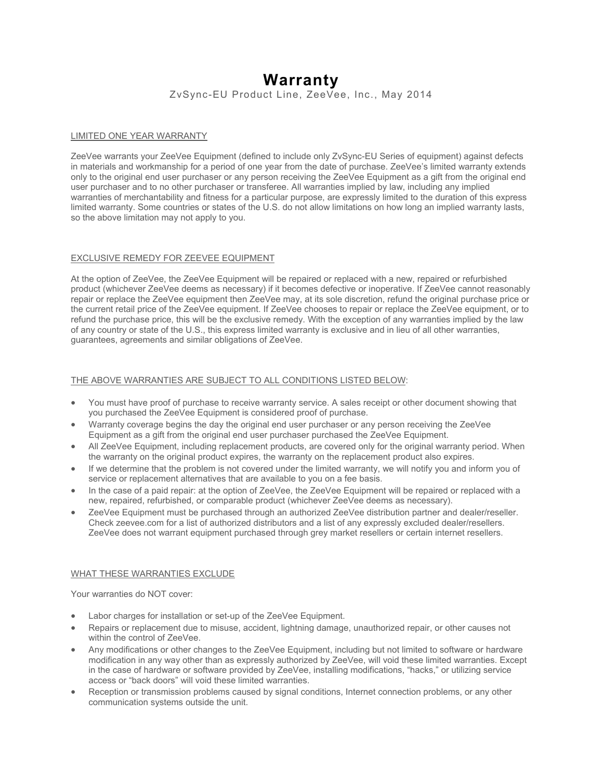# **Warranty**

ZvSync-EU Product Line, ZeeVee, Inc., May 2014

# LIMITED ONE YEAR WARRANTY

ZeeVee warrants your ZeeVee Equipment (defined to include only ZvSync-EU Series of equipment) against defects in materials and workmanship for a period of one year from the date of purchase. ZeeVee's limited warranty extends only to the original end user purchaser or any person receiving the ZeeVee Equipment as a gift from the original end user purchaser and to no other purchaser or transferee. All warranties implied by law, including any implied warranties of merchantability and fitness for a particular purpose, are expressly limited to the duration of this express limited warranty. Some countries or states of the U.S. do not allow limitations on how long an implied warranty lasts, so the above limitation may not apply to you.

## EXCLUSIVE REMEDY FOR ZEEVEE EQUIPMENT

At the option of ZeeVee, the ZeeVee Equipment will be repaired or replaced with a new, repaired or refurbished product (whichever ZeeVee deems as necessary) if it becomes defective or inoperative. If ZeeVee cannot reasonably repair or replace the ZeeVee equipment then ZeeVee may, at its sole discretion, refund the original purchase price or the current retail price of the ZeeVee equipment. If ZeeVee chooses to repair or replace the ZeeVee equipment, or to refund the purchase price, this will be the exclusive remedy. With the exception of any warranties implied by the law of any country or state of the U.S., this express limited warranty is exclusive and in lieu of all other warranties, guarantees, agreements and similar obligations of ZeeVee.

# THE ABOVE WARRANTIES ARE SUBJECT TO ALL CONDITIONS LISTED BELOW:

- You must have proof of purchase to receive warranty service. A sales receipt or other document showing that you purchased the ZeeVee Equipment is considered proof of purchase.
- Warranty coverage begins the day the original end user purchaser or any person receiving the ZeeVee Equipment as a gift from the original end user purchaser purchased the ZeeVee Equipment.
- All ZeeVee Equipment, including replacement products, are covered only for the original warranty period. When the warranty on the original product expires, the warranty on the replacement product also expires.
- If we determine that the problem is not covered under the limited warranty, we will notify you and inform you of service or replacement alternatives that are available to you on a fee basis.
- In the case of a paid repair: at the option of ZeeVee, the ZeeVee Equipment will be repaired or replaced with a new, repaired, refurbished, or comparable product (whichever ZeeVee deems as necessary).
- ZeeVee Equipment must be purchased through an authorized ZeeVee distribution partner and dealer/reseller. Check zeevee.com for a list of authorized distributors and a list of any expressly excluded dealer/resellers. ZeeVee does not warrant equipment purchased through grey market resellers or certain internet resellers.

# WHAT THESE WARRANTIES EXCLUDE

Your warranties do NOT cover:

- Labor charges for installation or set-up of the ZeeVee Equipment.
- Repairs or replacement due to misuse, accident, lightning damage, unauthorized repair, or other causes not within the control of ZeeVee.
- Any modifications or other changes to the ZeeVee Equipment, including but not limited to software or hardware modification in any way other than as expressly authorized by ZeeVee, will void these limited warranties. Except in the case of hardware or software provided by ZeeVee, installing modifications, "hacks," or utilizing service access or "back doors" will void these limited warranties.
- Reception or transmission problems caused by signal conditions, Internet connection problems, or any other communication systems outside the unit.